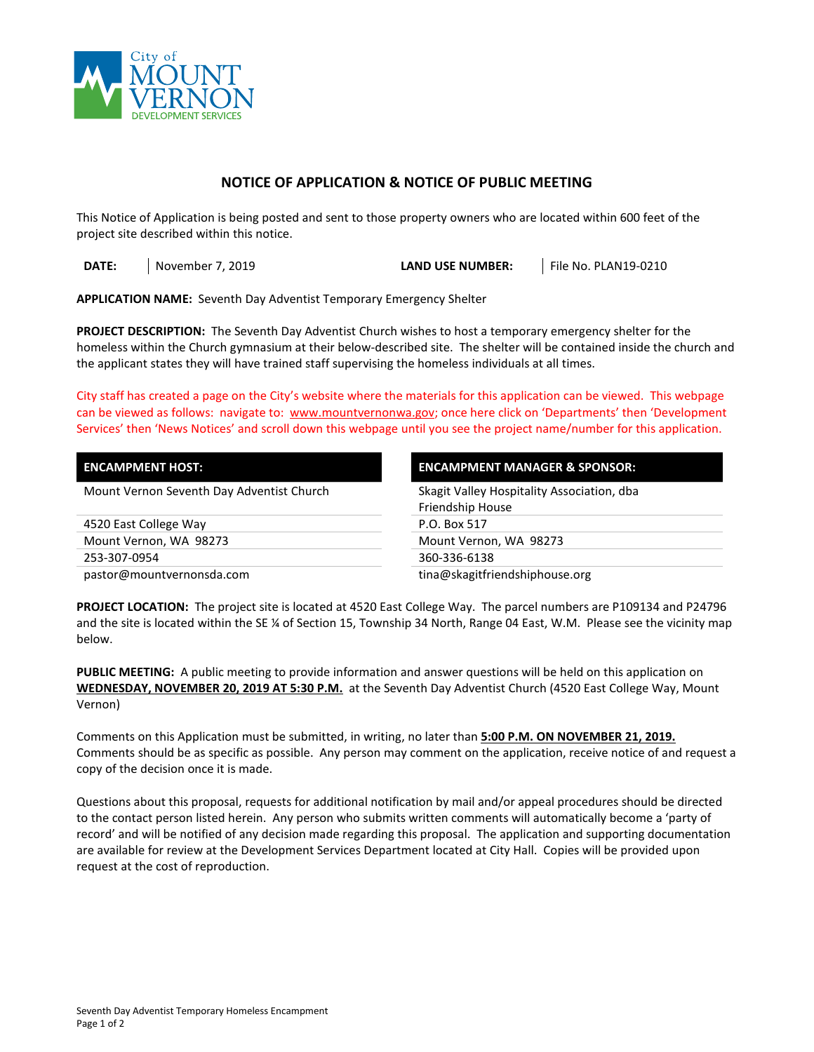

## **NOTICE OF APPLICATION & NOTICE OF PUBLIC MEETING**

This Notice of Application is being posted and sent to those property owners who are located within 600 feet of the project site described within this notice.

**DATE:** November 7, 2019 **LAND USE NUMBER:** File No. PLAN19-0210

**APPLICATION NAME:** Seventh Day Adventist Temporary Emergency Shelter

**PROJECT DESCRIPTION:** The Seventh Day Adventist Church wishes to host a temporary emergency shelter for the homeless within the Church gymnasium at their below-described site. The shelter will be contained inside the church and the applicant states they will have trained staff supervising the homeless individuals at all times.

City staff has created a page on the City's website where the materials for this application can be viewed. This webpage can be viewed as follows: navigate to: [www.mountvernonwa.gov;](http://www.mountvernonwa.gov/) once here click on 'Departments' then 'Development Services' then 'News Notices' and scroll down this webpage until you see the project name/number for this application.

| <b>ENCAMPMENT HOST:</b>                   | <b>ENCAMPMENT MANAGER &amp; SPONSOR:</b>   |  |
|-------------------------------------------|--------------------------------------------|--|
| Mount Vernon Seventh Day Adventist Church | Skagit Valley Hospitality Association, dba |  |
|                                           | Friendship House                           |  |
| 4520 East College Way                     | P.O. Box 517                               |  |
| Mount Vernon, WA 98273                    | Mount Vernon, WA 98273                     |  |
| 253-307-0954                              | 360-336-6138                               |  |
| pastor@mountvernonsda.com                 | tina@skagitfriendshiphouse.org             |  |

**PROJECT LOCATION:** The project site is located at 4520 East College Way. The parcel numbers are P109134 and P24796 and the site is located within the SE ¼ of Section 15, Township 34 North, Range 04 East, W.M. Please see the vicinity map below.

**PUBLIC MEETING:** A public meeting to provide information and answer questions will be held on this application on **WEDNESDAY, NOVEMBER 20, 2019 AT 5:30 P.M.** at the Seventh Day Adventist Church (4520 East College Way, Mount Vernon)

Comments on this Application must be submitted, in writing, no later than **5:00 P.M. ON NOVEMBER 21, 2019.** Comments should be as specific as possible. Any person may comment on the application, receive notice of and request a copy of the decision once it is made.

Questions about this proposal, requests for additional notification by mail and/or appeal procedures should be directed to the contact person listed herein. Any person who submits written comments will automatically become a 'party of record' and will be notified of any decision made regarding this proposal.The application and supporting documentation are available for review at the Development Services Department located at City Hall. Copies will be provided upon request at the cost of reproduction.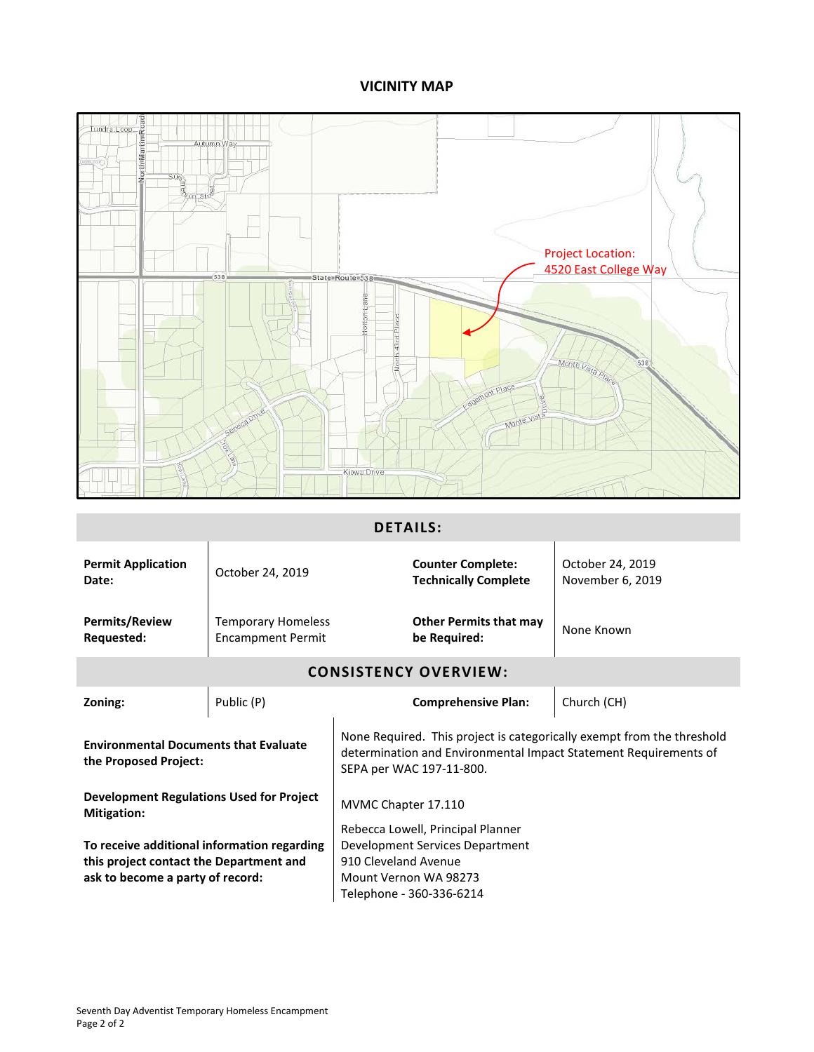## **VICINITY MAP**



## **DETAILS:**

| <b>Permit Application</b><br>Date:                                                                                                                                                                                                              | October 24, 2019                                      | <b>Counter Complete:</b><br><b>Technically Complete</b> | October 24, 2019<br>November 6, 2019 |  |
|-------------------------------------------------------------------------------------------------------------------------------------------------------------------------------------------------------------------------------------------------|-------------------------------------------------------|---------------------------------------------------------|--------------------------------------|--|
| <b>Permits/Review</b><br>Requested:                                                                                                                                                                                                             | <b>Temporary Homeless</b><br><b>Encampment Permit</b> | <b>Other Permits that may</b><br>be Required:           | None Known                           |  |
| <b>CONSISTENCY OVERVIEW:</b>                                                                                                                                                                                                                    |                                                       |                                                         |                                      |  |
| Zoning:                                                                                                                                                                                                                                         | Public (P)                                            | <b>Comprehensive Plan:</b>                              | Church (CH)                          |  |
| None Required. This project is categorically exempt from the threshold<br><b>Environmental Documents that Evaluate</b><br>determination and Environmental Impact Statement Requirements of<br>the Proposed Project:<br>SEPA per WAC 197-11-800. |                                                       |                                                         |                                      |  |
| <b>Development Regulations Used for Project</b><br><b>Mitigation:</b>                                                                                                                                                                           |                                                       | MVMC Chapter 17.110                                     |                                      |  |
|                                                                                                                                                                                                                                                 |                                                       | Rebecca Lowell, Principal Planner                       |                                      |  |
| To receive additional information regarding                                                                                                                                                                                                     |                                                       | Development Services Department                         |                                      |  |
| this project contact the Department and                                                                                                                                                                                                         |                                                       | 910 Cleveland Avenue                                    |                                      |  |
| ask to become a party of record:                                                                                                                                                                                                                |                                                       | Mount Vernon WA 98273                                   |                                      |  |
|                                                                                                                                                                                                                                                 |                                                       | Telephone - 360-336-6214                                |                                      |  |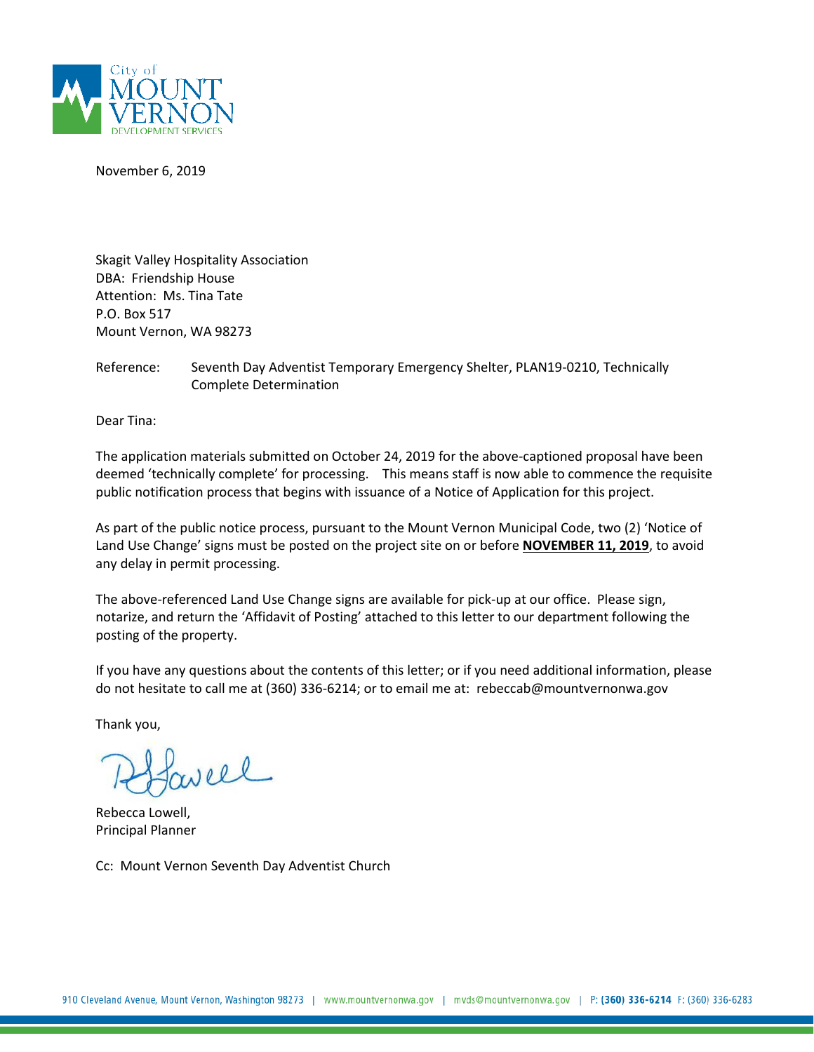

November 6, 2019

Skagit Valley Hospitality Association DBA: Friendship House Attention: Ms. Tina Tate P.O. Box 517 Mount Vernon, WA 98273

Reference: Seventh Day Adventist Temporary Emergency Shelter, PLAN19-0210, Technically Complete Determination

Dear Tina:

The application materials submitted on October 24, 2019 for the above-captioned proposal have been deemed 'technically complete' for processing. This means staff is now able to commence the requisite public notification process that begins with issuance of a Notice of Application for this project.

As part of the public notice process, pursuant to the Mount Vernon Municipal Code, two (2) 'Notice of Land Use Change' signs must be posted on the project site on or before **NOVEMBER 11, 2019**, to avoid any delay in permit processing.

The above-referenced Land Use Change signs are available for pick-up at our office. Please sign, notarize, and return the 'Affidavit of Posting' attached to this letter to our department following the posting of the property.

If you have any questions about the contents of this letter; or if you need additional information, please do not hesitate to call me at (360) 336-6214; or to email me at: rebeccab@mountvernonwa.gov

Thank you,

oll

Rebecca Lowell, Principal Planner

Cc: Mount Vernon Seventh Day Adventist Church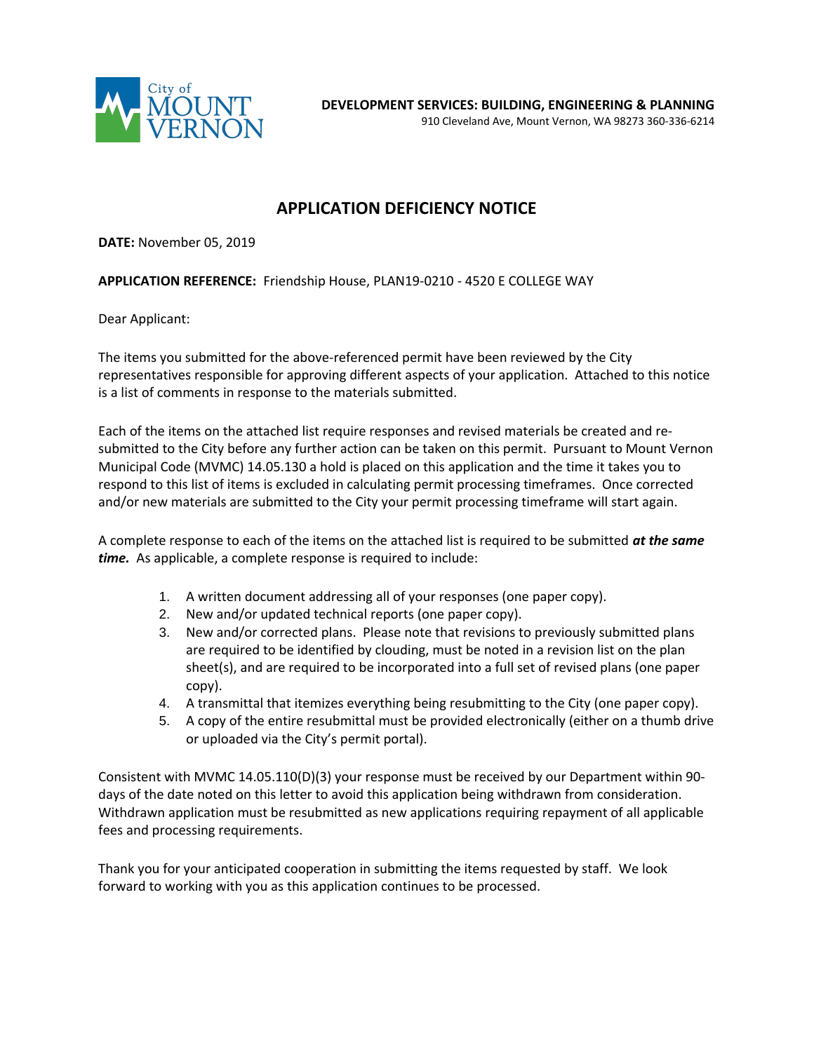

# **APPLICATION DEFICIENCY NOTICE**

**DATE:** November 05, 2019

**APPLICATION REFERENCE:** Friendship House, PLAN19-0210 - 4520 E COLLEGE WAY

Dear Applicant:

The items you submitted for the above-referenced permit have been reviewed by the City representatives responsible for approving different aspects of your application. Attached to this notice is a list of comments in response to the materials submitted.

Each of the items on the attached list require responses and revised materials be created and resubmitted to the City before any further action can be taken on this permit. Pursuant to Mount Vernon Municipal Code (MVMC) 14.05.130 a hold is placed on this application and the time it takes you to respond to this list of items is excluded in calculating permit processing timeframes. Once corrected and/or new materials are submitted to the City your permit processing timeframe will start again.

A complete response to each of the items on the attached list is required to be submitted *at the same time.* As applicable, a complete response is required to include:

- 1. A written document addressing all of your responses (one paper copy).
- 2. New and/or updated technical reports (one paper copy).
- 3. New and/or corrected plans. Please note that revisions to previously submitted plans are required to be identified by clouding, must be noted in a revision list on the plan sheet(s), and are required to be incorporated into a full set of revised plans (one paper copy).
- 4. A transmittal that itemizes everything being resubmitting to the City (one paper copy).
- 5. A copy of the entire resubmittal must be provided electronically (either on a thumb drive or uploaded via the City's permit portal).

Consistent with MVMC 14.05.110(D)(3) your response must be received by our Department within 90 days of the date noted on this letter to avoid this application being withdrawn from consideration. Withdrawn application must be resubmitted as new applications requiring repayment of all applicable fees and processing requirements.

Thank you for your anticipated cooperation in submitting the items requested by staff. We look forward to working with you as this application continues to be processed.